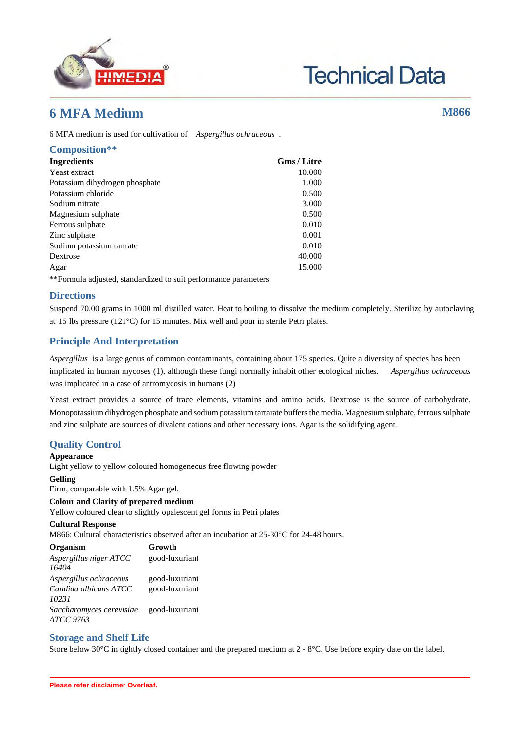

# **Technical Data**

# **6 MFA Medium M866**

6 MFA medium is used for cultivation of *Aspergillus ochraceous* .

| Composition**                  |                    |
|--------------------------------|--------------------|
| Ingredients                    | <b>Gms / Litre</b> |
| Yeast extract                  | 10.000             |
| Potassium dihydrogen phosphate | 1.000              |
| Potassium chloride             | 0.500              |
| Sodium nitrate                 | 3.000              |
| Magnesium sulphate             | 0.500              |
| Ferrous sulphate               | 0.010              |
| Zinc sulphate                  | 0.001              |
| Sodium potassium tartrate      | 0.010              |
| Dextrose                       | 40.000             |
| Agar                           | 15.000             |

\*\*Formula adjusted, standardized to suit performance parameters

## **Directions**

Suspend 70.00 grams in 1000 ml distilled water. Heat to boiling to dissolve the medium completely. Sterilize by autoclaving at 15 lbs pressure (121°C) for 15 minutes. Mix well and pour in sterile Petri plates.

# **Principle And Interpretation**

*Aspergillus* is a large genus of common contaminants, containing about 175 species. Quite a diversity of species has been implicated in human mycoses (1), although these fungi normally inhabit other ecological niches. *Aspergillus ochraceous* was implicated in a case of antromycosis in humans (2)

Yeast extract provides a source of trace elements, vitamins and amino acids. Dextrose is the source of carbohydrate. Monopotassium dihydrogen phosphate and sodium potassium tartarate buffers the media. Magnesium sulphate, ferrous sulphate and zinc sulphate are sources of divalent cations and other necessary ions. Agar is the solidifying agent.

# **Quality Control**

#### **Appearance**

Light yellow to yellow coloured homogeneous free flowing powder

#### **Gelling**

Firm, comparable with 1.5% Agar gel.

#### **Colour and Clarity of prepared medium**

Yellow coloured clear to slightly opalescent gel forms in Petri plates

#### **Cultural Response**

M866: Cultural characteristics observed after an incubation at 25-30°C for 24-48 hours.

| Organism                                                 | Growth                           |
|----------------------------------------------------------|----------------------------------|
| Aspergillus niger ATCC<br>16404                          | good-luxuriant                   |
| Aspergillus ochraceous<br>Candida albicans ATCC<br>10231 | good-luxuriant<br>good-luxuriant |
| Saccharomyces cerevisiae<br>ATCC 9763                    | good-luxuriant                   |

### **Storage and Shelf Life**

Store below 30°C in tightly closed container and the prepared medium at 2 - 8°C. Use before expiry date on the label.